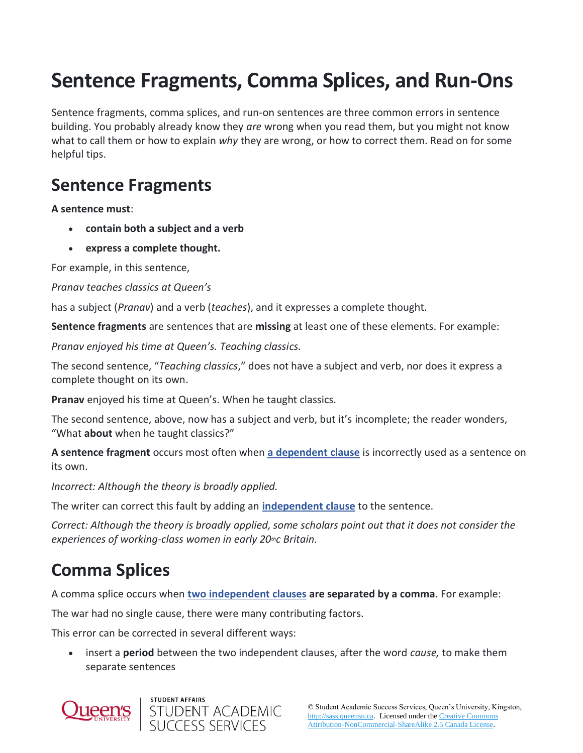## **Sentence Fragments, Comma Splices, and Run-Ons**

Sentence fragments, comma splices, and run-on sentences are three common errors in sentence building. You probably already know they *are* wrong when you read them, but you might not know what to call them or how to explain *why* they are wrong, or how to correct them. Read on for some helpful tips.

## **Sentence Fragments**

**A sentence must**:

- **contain both a subject and a verb**
- **express a complete thought.**

For example, in this sentence,

*Pranav teaches classics at Queen's*

has a subject (*Pranav*) and a verb (*teaches*), and it expresses a complete thought.

**Sentence fragments** are sentences that are **missing** at least one of these elements. For example:

*Pranav enjoyed his time at Queen's. Teaching classics.*

The second sentence, "*Teaching classics*," does not have a subject and verb, nor does it express a complete thought on its own.

**Pranav** enjoyed his time at Queen's. When he taught classics*.*

The second sentence, above, now has a subject and verb, but it's incomplete; the reader wonders, "What **about** when he taught classics?"

**A sentence fragment** occurs most often when **[a dependent clause](http://sass.queensu.ca/onlineresource/topics/sentence-building/)** is incorrectly used as a sentence on its own.

*Incorrect: Although the theory is broadly applied.*

The writer can correct this fault by adding an **[independent clause](http://sass.queensu.ca/onlineresource/topics/sentence-building/)** to the sentence.

*Correct: Although the theory is broadly applied, some scholars point out that it does not consider the experiences of working-class women in early 20thc Britain.*

## **Comma Splices**

A comma splice occurs when **[two independent clauses](http://sass.queensu.ca/onlineresource/topics/sentence-building/) are separated by a comma**. For example:

The war had no single cause, there were many contributing factors.

This error can be corrected in several different ways:

• insert a **period** between the two independent clauses, after the word *cause,* to make them separate sentences